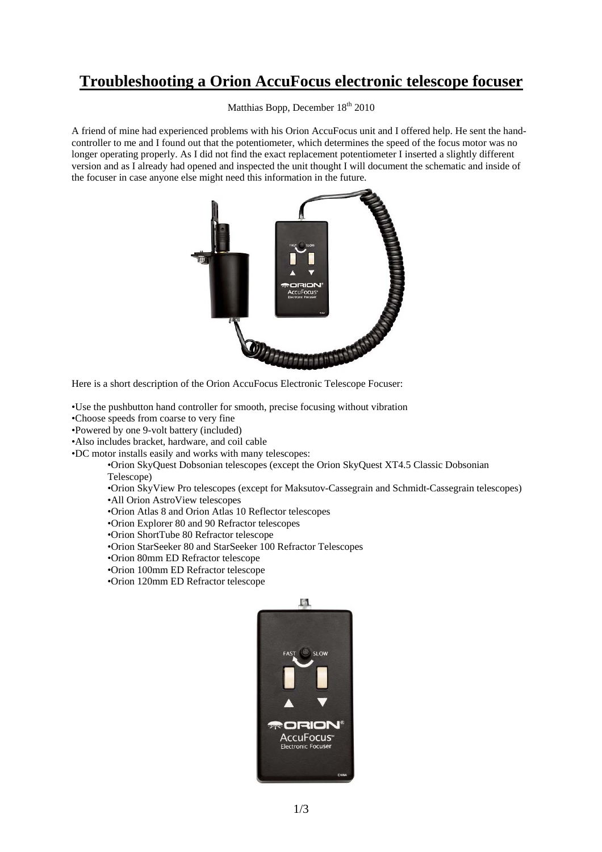## **Troubleshooting a Orion AccuFocus electronic telescope focuser**

Matthias Bopp, December 18<sup>th</sup> 2010

A friend of mine had experienced problems with his Orion AccuFocus unit and I offered help. He sent the handcontroller to me and I found out that the potentiometer, which determines the speed of the focus motor was no longer operating properly. As I did not find the exact replacement potentiometer I inserted a slightly different version and as I already had opened and inspected the unit thought I will document the schematic and inside of the focuser in case anyone else might need this information in the future.



Here is a short description of the Orion AccuFocus Electronic Telescope Focuser:

- •Use the pushbutton hand controller for smooth, precise focusing without vibration
- •Choose speeds from coarse to very fine
- •Powered by one 9-volt battery (included)
- •Also includes bracket, hardware, and coil cable
- •DC motor installs easily and works with many telescopes:

•Orion SkyQuest Dobsonian telescopes (except the Orion SkyQuest XT4.5 Classic Dobsonian Telescope)

•Orion SkyView Pro telescopes (except for Maksutov-Cassegrain and Schmidt-Cassegrain telescopes)

•All Orion AstroView telescopes

•Orion Atlas 8 and Orion Atlas 10 Reflector telescopes

- •Orion Explorer 80 and 90 Refractor telescopes
- •Orion ShortTube 80 Refractor telescope
- •Orion StarSeeker 80 and StarSeeker 100 Refractor Telescopes
- •Orion 80mm ED Refractor telescope
- •Orion 100mm ED Refractor telescope
- •Orion 120mm ED Refractor telescope

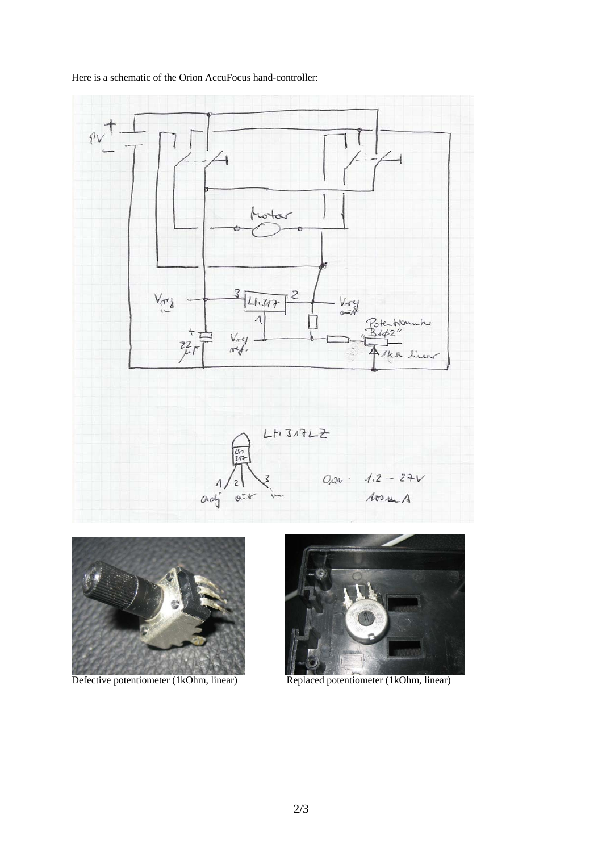





Defective potentiometer (1kOhm, linear) Replaced potentiometer (1kOhm, linear)